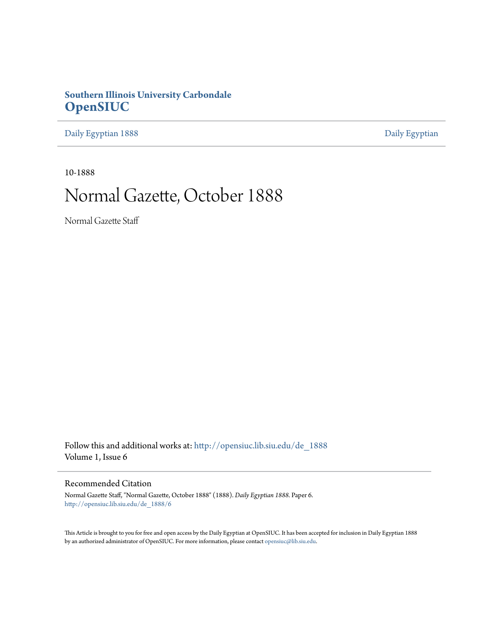## **Southern Illinois University Carbondale [OpenSIUC](http://opensiuc.lib.siu.edu?utm_source=opensiuc.lib.siu.edu%2Fde_1888%2F6&utm_medium=PDF&utm_campaign=PDFCoverPages)**

[Daily Egyptian 1888](http://opensiuc.lib.siu.edu/de_1888?utm_source=opensiuc.lib.siu.edu%2Fde_1888%2F6&utm_medium=PDF&utm_campaign=PDFCoverPages) [Daily Egyptian](http://opensiuc.lib.siu.edu/de?utm_source=opensiuc.lib.siu.edu%2Fde_1888%2F6&utm_medium=PDF&utm_campaign=PDFCoverPages)

10-1888

## Normal Gazette, October 1888

Normal Gazette Staff

Follow this and additional works at: [http://opensiuc.lib.siu.edu/de\\_1888](http://opensiuc.lib.siu.edu/de_1888?utm_source=opensiuc.lib.siu.edu%2Fde_1888%2F6&utm_medium=PDF&utm_campaign=PDFCoverPages) Volume 1, Issue 6

## Recommended Citation

Normal Gazette Staff, "Normal Gazette, October 1888" (1888). *Daily Egyptian 1888.* Paper 6. [http://opensiuc.lib.siu.edu/de\\_1888/6](http://opensiuc.lib.siu.edu/de_1888/6?utm_source=opensiuc.lib.siu.edu%2Fde_1888%2F6&utm_medium=PDF&utm_campaign=PDFCoverPages)

This Article is brought to you for free and open access by the Daily Egyptian at OpenSIUC. It has been accepted for inclusion in Daily Egyptian 1888 by an authorized administrator of OpenSIUC. For more information, please contact [opensiuc@lib.siu.edu.](mailto:opensiuc@lib.siu.edu)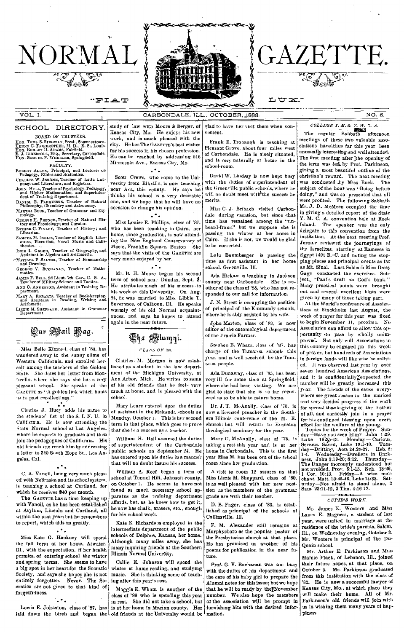

CARBONDALE, ILL., OCTOBER, 1888.

# GAZETTE.

### エロヱ"

 $VOLI$ 

### SCHOOL DIRECTORY.

BOARD OF TRUSTEES.

NORMAL

"FIAT

BOARD OF TRUSTEES.<br>
HON. THOS S. RIDGWAY, Prest., Shawneetown.<br>
HENNY C. FAIRBROTHER, M. D., E. St. Louis.<br>
HON. ROBLEY D. ADAMS, Fairfield.<br>
E. J. INGERSONL, ESQ., Secretary, Carbondale.<br>
HON. SANUEL P. WHEELEN, Springfie

FACULTY.

FROBERT ALLYS, FROUDITY.<br>
ROBERT ALLYS, FROBERT and Lecturer of Pedagogy, Ethics and Æsthetics.<br>
CHARLES W. JEROME, Teacher of Latin Lauring and Literature; and Registrar.<br>
Jones Hurl., Teacher of Psychology, Pedagogy, 198

DANIEL B. PARKINSON, Teacher of Natural<br>Philosophy, Chemistry and Astronomy.

MARTHA BUCK, Teacher of Grammar and Ety-

mology<br>Geonog H. FRENCH, Teacher of Natural History and Physiology; and Curator.<br>Esrnenc C. FINLEY, Teacher of History; and<br>Librarian.

SAMEEL M. INGLIS, Teacher of English Literature, Elocution, Vocal Music and Callsature,

neuros.<br>
INEZ I. GREEN, Teacher of Geography, and<br>
Assistant in Algebra and Arithmetic.<br>
Marilda Prawing.<br>
Calgebra .<br>
Calgebra .

GEORGE V. BUCHANAN, Teacher of Mathe-

mattes.<br>
Haves F. BELL, 2d Lieut. 7th Cav., U. S. A.,<br>
Teacher of Military Science and Tactics.<br>
ANX C. ANDERSON, Assistant in Training De-<br>
partment.

MARY A. ROBARTS, Teacher of Book-keeping, and Assistant in Reading, Writing and

and Assist

Lizzie M. SHEPPARD, Assistant in Grammar<br>Department.



-Miss Belle Kimmel, class of '83, has wandered away to the sunny clime of Western California and enrolled herself among the teachers of the Golden State. She dates her letter from Monticello, where she says she has a very pleasant school. She speaks of the GAZETTE as "A golden link which binds us to past recollections."

 $\mathbf{A}$ Charles J. Huey adds his name to the students' list of the S. I. N. U. in California. He is now attending the State Normal school at Los Angeles, where he expects to graduate and then join the pedagogues of California. His old friends can reach him by addressing a letter to 320 South Hope St., Los Angeles. Cal.

C. A. Vancil, being very much pleased with Nebraska and its school system, is teaching a school at Cortland, for which he receives \$40 per month.

The GAZETTE has a time keeping up with Vancil, as he has been established at Asylum, Lincoln and Cortland, all within the past year; but he remembers to report, which aids us greatly.

## $\ddotsc$

Miss Kate G. Hackney will spend the fall term at her home, Atwater, Ill., with the expectation, if her health permits, of entering school the winter and spring terms. She seems to have a big spot in her heart for the Socratic Society, and says she hopes she is not entirely forgotten. Never. The So-<br>cratics are not given to that kind of forgetfulness.

laid down the birch and began the old friends at the University would be mation.

study of law with Moore & Berger, of Kansas City. Mo. He enjoys his new work, and is much pleased with the city. He has The GAZETTE's best wishes for his success in his chosen profession. He can be reached by addressing 516 Minnesota Ave., Kansas City, Mo.  $2 + 1$ 

Scott Crews, who came to the University from Elkville, is now teaching near Ava, this county. He says he thinks his school is a very desirable<br>one, and we hope that he will have no occasion to change his opinion.

### $\mathbf{A}$

Miss Louise E. Phillips, class of '87, who has been teaching in Cairo, her home, since graduation, is now attending the New England Conservatory of Music, Franklin Square, Boston. She says that the visits of the GAZETTE are very much enjoyed by her.

 $\rightarrow$ 

Mr. B. H. Moore begun his second term of school near Dundas, Sept. 3. He attributes much of his success to his work at this University On Ang. 24, he was married to Miss Libbie T. Severance, of Calhoun, Ill. He speaks warmly of his old Normal acquaintances, and says he hopes to attend again in the near future.

## 德he : **Alumni.**

## CLASS OF '88.

Charles M. Morgan is now established as a student in the law department of the Michigan University, at Ann Arbor, Mich. He writes to some of his old friends that he feels very much at home, and is pleased with the sehool.

Mary Leary entered upon the duties of assistant in the Makanda schools on Monday, October 1. This is her second term in that place, which goes to prove that she is a success as a teacher.

William H. Hall assumed the duties of superintendent of the Carbondale public schools on September 24, He has entered upon his duties in a manner that will no doubt insure his success.

William A. Reef began a term of school at Tunnel Hill, Johnson county, on October 1. He seems to have not found as much necessary school apparatus as the training department affords, but, as he knew how to get it, he now has chalk, erasers, etc., enough for his school work.

Kate E. Richards is employed in the intermediate department of the public schools of Delphos, Kansas, her home. Although many miles away, she has many inquiring friends at the Southern Illinois Normal University.

Callie E. Johnson will spend the winter at home reading, and studying music. She is thinking some of teaching after this year's rest.

Maggie E. Whatn is another of the class of '88 who is spending this year in rest. She did not take a school, but

glad to have her visit them when convenient.

Frank E. Trobaugh is teaching at Pleasant Grove, about four miles west of Carbondale. He is nicely situated, and is very naturally at home in the schnol-room.

David W. Lindsay is now kept busy with the duties of superintendent of the Greenville public schools, where he will no doubt meet with<sup>\$</sup>the success he merits.

Miss C. J. Bribach visited Carbondale during vacation, but since that time has remained among the "nnbeard-from;" but we suppose she is neard-from; but we suppose sue is<br>passing the winter at her home in<br>Cairo. If she is not, we would be glad to be corrected.

Lulu Baumberger is passing the time as first assistant in her home school, Greenville, Ill.

Ada Hickam is teaching in Jackson county near Carbondale She is another of the class of '88, who has not resnanded to our call for information.

J. N. Street is occupying the position of principal of the Kinmundy schools, where he is ably assisted by his wife.

John Marten, class of '83 is now editor of the entomological department of the Prairie Farmer.

Stenben B. Wham, class of '87, has charge of the Tamaroa schools this year, and is well received by the Tamsroa people.

Ada Dunaway, class of '85, has been very ill for some time at Springfield, where she had been visiting. We are glad to state that she is so far recove<br>ered as to be able to return home.

Dr. J. T. McAnally, class of '78, is now a licensed preacher in the Southern Illinois conference of the M. E. church; but will return to Evanston theological seminary for the year.

Mary C. McAnally, class of '78, is taking a rest this year and is at her home in Carbondale. This is the first year Miss M. has been out of the school room since her graduation.

A visit to room 12 assures us that Miss Lizzie M. Sheppard, class of '80, is as well pleased with her new position as the members of the grammar grade are with their teacher.

D. B. Fager, class of '83, is established as principal of the schools of Collinsville, Ill.

F. M. Alexander still remains at Murphysboro as the popular pastor of the Presbyterian church at that place. He has promised us another of his poems for publication in the near futura.

Prof. G. V. Buchanan was too busy with the duties of his department and the care of his baby girl to prepare the<br>Alumni notes for this issue; but we hope that he will be ready by the November number. We also hope the members of the association will be prompt in Lewis E. Johnston, class of '87, has is at her home in Marion county. Her turnishing him with the desired infor-

COLLEGE Y. M. & Y. W. C. A.<br>The regular Sabbath afternoon meetings of these two valuable asso-

 $NOLB$ 

clations have thus far this year been unusually interesting and well attended. The first meeting after the openiug of<br>the term was led by Prof. Parkinson, giving a most beautiful outline of the christian's reward. The next meeting was conducted by Miss Buck. The subject of the hour was "Being before doing," and was so presented that all were profited. The following Sabbath Mr. J. D. McMeen occupied the time in giving a detailed report of the State Y. M. C. A. convention held at Rock Island. The speaker was the only delegate to this convention from the institution. At the next meeting Prof. Jerome reviewed the journeyings of the Israelites, starting at Rameses in Egypt 1491 B. C. and noting the stopping places and principal events as far as Mt. Sinai. Last Sabbath Miss Daisy Gage conducted the exercises. Subject. "Paul's draft on God's bank." Many practical points were brought out and several excellent hints were given by many of those taking part.

At the World's conference of Assoications at Stockholm last August, the week of prayer for this year was fixed to begin November 11, proximo. No Association can afford to allow this opportunity to pass by wholly unimproved. Not only will Associations in this country be engaged in this week of prayer, but hundreds of Associations in foreign lands will like wise be enlisted. It was observed last year by over seven hundred American Associations, and it is confidentially expected the number will be greatly increased this year. The friends of the cause every-.<br>where see great reason in the marked and very decided progress of the work for special thanksgiving to the Father of all, and earnestly join in a prayer or and continued blessing upon every<br>effort for the welfare of the young.<br>Topics for the week of Prayer. Sun-

or  $\cdots$  of this continued blessing upon ever a effort for the welfare of the young.<br>Topics for the week of Prayer. Sun-<br>day—Have you seen Him? John 1:29.<br>Luke 18:33-43. Monday—Curious,<br>Saved, Luke 18:1-10. Tues-<br>day—Drit ness, John 2:19-20; 8:12. Thursday—<br>The Danger thorougly understood but<br>not avoided, Prov. 6:1-13, Neh. 18:26,<br>1 d. Cor. 10:13. Priday—A wise mer-<br>chant, Matt. 13:45-46, Luke 14:33. Sat-<br>nrday—Noo afraid to stand alone, 2

### CUPID'S WORK.

Mr. James E. Wooters and Miss Laura E. Magness, a student of last year, were united in marriage at the residence of the bride's parents, Salem. Ill., on Wednesday evening, October 3. Mr. Wooters is principal of the Du-Quoin school.

Mr. Arthur E. Parkinson and Miss Mamie Plack, of Lebanon, Ill., joined their future hopes, at that place, on October 3. Mr. Parkinson graduated from this institution with the class of 82. He is now a successful lawyer of Kansas City, Mo., at which place they will make their home. All of Mr. Parkinson's old friends will join with us in wishing them many years of happiness.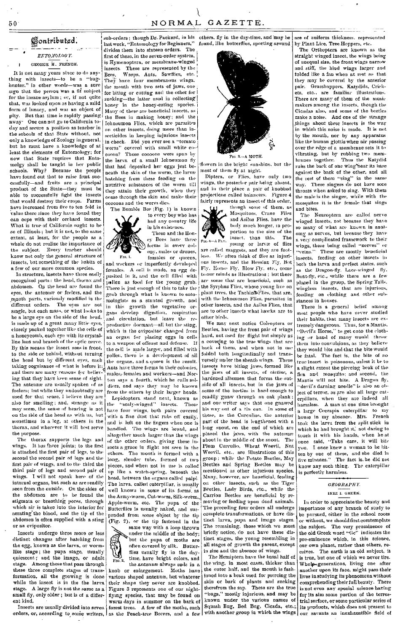50

 $\bullet$ 

## Sontributed.

ENTOMOLOGY. GEORGE H. FRENCH.

It is not many years since to do anything with insects-to be a "bughunter," in other words-was a sure sign that the person was a fif subject for the insane asylum; or, if not quite that, was looked upon as baving a mild form of lunacy, and was an object of pity. But that time is rapidly passing away. One can not go to California today and secure a position as teacher in the schools of that State without, not only a knowledge of Zoology in general. but he must have a knowledge of at least the elements of Entomology; for now that State requires that Entomolgy shall be taught in her public schools. Why? Because the people have found out that to raise fruit successfully-and fruits are a principal product of the State-they must be able to successfully fight the insects that would destroy their crops. Farms have increased from five to ten fold in value there since they have found they can cope with their orchard insects. What is true of California ought to be so of Illinois; but it is not, to the same extent, at least, for the people as a whole do not realize the importance of the subject. Every teacher should know not only the general structure of insects, but something of the habits of a few of our more common species.

In structure, insects have three easily recognized parts: the head, thorax and abdomen. On the head are found the eyes, the antenne or feelers, and the month parts, variously modified in the different orders. The eyes are not single, but each mass, or what looks to be a large eye on the side of the head, is made up of a great many little eyes, closely packed together like the cells of a honeycomb, each eve with its crystalline leas and branch of the optic nerve. By this means the insect sees in front, to the side or behind, without turning the head but by different eyes, each taking cognizance of what is before it: and there are many reasons for believing that they have keen sense of sight. The antennæ are usually spoken of as feelers; but while they undoubtedly are used for that sease. I believe they are also for smelling; and, strange as it may seem, the sense of hearing is not on the side of the head as with us, but sometimes in a leg, at others in the thorax, and wherever it will best serve the purpose.

The thorax supports the legs and wings. It has three joints; to the first is attached the first pair of legs, to the second the second pair of legs and the first pair of wings, and to the third the third pair of legs and second pair of wings. I will not speak here of the internal organs, but such as are readily seen from the outside. On the sides of the abdomen are to be found the stigmata or breathing pores, through which air is taken into the interior for aerating the blood, and the tip of the abdomen is often supplied with a sting or an ovipositor.

Insects undergo three more or less distinct changes after hatching from the egg, known as the larva, or wormlike stage; the pupa stage, usually quiescent; and the imago, or adult stage. Among those that pass through these three complete stages of transformation, all the growing is done while the insect is in the the larva stage. A large fly is not the same as a small fly, only older; but is of a different kind.

Insects are usually divided into seven orders, or, according to some writers, as the Peach-tree Borers, and a few

sub-orders; though Dr. Packard, in his others, fly in the day-time, and may be last work, "Entomology for Beginners," divides them into sixteen orders. The first of these, in the seven-order system, is Hymenoptera, or membrane-winged These are represented by the insects. Wasps, Ants, Sawflies, etc. Bees, They have four membranous wings. the mouth with two sets of jaws, one for biting or cutting and the other for sucking-the latter used in collecting honey in the honey-eating species. Many of these are beneficial insects, as the Bees in making honey; and the Ichneumon Flies, which are parasites on other insects, doing more than insecticides in keeping injurious insects in check. Did you ever see a "tomato worm" covered with small white cocoons? Those cocoons were spun by the larva of a small Ichneumon fly that had deposited her eggs just beneath the skin of the worm, the larvæ hatching from these feeding on the nutritive substances of the worm till they attain their growth, when they come through the skin and make their cocoons and the worm dies.

The Bumble Bee (Fig. 1) is known to every boy who has had any country life in his existence These and the Hon-

ev Bees have three forms in every colony, males or drones, females or queens,

 $Fig. 1.$ and workers or imperfectly developed females. A cell is made, an egg deposited in it, and the cell filled with pollen as food for the young grub. There is just enough of this to take the grub through what is known to entomologists as a stunted growth, and in this growth the vegetative organs develop digestion. respiration and circulation, but leave the reproductive dormant-all but the sting, which is the ovipositor changed from an organ for placing eggs in cells to a weapon of offense and defense.  $Tf$ the cell is made larger, and filled with pollen, there is a development of all the organs, and a queen is the result. Ants have three forms in their colonies. males, females and workers-and Norton says a fourth, which he calls soldiers, and says they may be known from the others by their larger heads.

Lepidoptern stand next, known as<br>a "scaly-winged" insects. These the have four wings, both pairs covered with a fine dust that rubs off easily, and is left on the fingers when one is handled. The wings are broad, and altogether much larger than the wings of the other orders, giving these insects a grace in flight not seen in the others. The mouth is formed with a long, slender tube, formed of two pieces, and when not in use is coiled up like a watch-spring, beneath the head, between the organs called palpi. The larva, called caterpillar, is usually well known in some of its forms as the Army-worm, Cut-worm, Silk-worm, Apple-worm, etc. The pupa of the Butterflies is usually naked, and suspended from some object by the tip (Fig. 2), or the tip fastened in the

same way with a loop thrown under the middle of the body; but the pupa of moths are often covered by silk. Butterflies usually fly in the daytime, have bright colors, and

 $\Gamma$ 10.2 the antenne always ends in a knob or enlargement. Moths have various shaped antennæ, but whatever their shape they never are knobbed. Figure 3 represents one of our nightflying species, that may be found on warm days in summer on the bark of forest trees. A few of the moths, such

are of uniform thickness, represented found. like butterflies, sporting around by Plant Lice. Tree Hoppers, etc.

The



NORMAL GAZETTE.

flowers in the bright sunshine, but the most of them fly at night.

Diptera, or Flies, have only two wings, the posterior pair being absent, and in their place a pair of knobbed projections called balancers. Figure 4 fairly represents an insect of this order.

though some of them, as Mosquitoes, Crane Flies and Asilus Flies, have the body much longer, in proportion to the size of the insect, than this.

FIG. 4-A FLY. young or larvæ of flies are called maggots, and they are footless. We often think of flies as injurions insects, and the Hessian Fly, Bot Fly, House Fly, Blow Fly, etc., come to our minds as illustrations; but there are some that are beneficial, such as the Syrphus Flies, whose young live on plant trees, the Tachina Flies, that are, .<br>with the Ichneumon Flies, parasites in other insects, and the Asilas Flies, that are to other insects what hawks are to other birds.

We may next notice Coleoptera or Beetles, baving the front pair of wings hard, not used for flight but simply as a covering to the true wings that are back of them, and when not in use folded both longitudinally and transversely under the sheath wings. These insects have biting jaws, formed like the jaws of all insects, of chetine, a hardened albumen that forms the outside of all insects, but in the jaws of some of the beetles is hard enough to readily gnaw through an oak plank; and one writer says that one gnawed his way out of a tin can. In some of these, as the Curculios, the auterior part of the head is lengthened with a long snout, on the end of which are placed the jaws, with the antenne about in the middle of the snout. The Plum Curculio, Wheat Weevil, Nut Weevil, etc., are illustrations of this group; while the Potato Beetles, May Beetles and Spring Beetles may be mentioned as other injurious species. Many, however, are beneficial, feeding on other insects, such as the Tiger Beetles, Lady Birds, etc., while the Carrion Beetles are beneficial by removing or feeding upon dead animals. The preceding four orders all undergo complete transformations, or have distinct larva, pupa and imago stages. The remaining, those which we must briefly notice, do not have these distinct stages, the young resembling in all stages of growth the parent, except in size and the absence of wings.

The Hemiptera have the basal half of the wing, in most cases, thicker than the outer half, and the mouth is fashjoned into a beak used for piercing the skin or bark of plants and sucking therefrom the sap. These are the true "bugs," mostly injurious, and may be known under the various names of Squash Bug, Bed Bug, Cicada, etc.;

The Ortbootera are known as the straicht winged insect, the wings being of unequal size, the front wings narrow and stiff, the hind wings larger and folded like a fan when at rest so that they may be covered by the anterior pair. Grasshoppers. Katydids, Crick-.<br>ets, etc., are familiar illustrations. There are many of them of the music makers among the insects, though the Cicadas also, and some of the beetles make a noise. And one of the strange things about these insects is the way in which this noise is made. It is not by the mouth, nor by any apparatus like the human glottis when air passing over the edge of a membrane sets it to vibrating, but by rubbing two mem-<br>branes together. Thus the Katydid rubs the back of one wing near its base against the back of the other, and all the rest of them "sing" in the same way. These singers do not have sore throats when asked to sing. With them the male is the singer, while with the mosquitos it is the female that sings and bites.

The Neuroptera are called nerve winged insects, not because they have so many of what are known in anatomy as nerves, but because they have a very complicated framework to their wings, these being called "nerves" or "veins." These are mostly beneficial insects, feeding on other insects in both the larva and perfect states, such as the Dragon-fly, Lace-winged fly. Boat-fly, etc., while there are a few placed in the group, the Spring Tails. wingless insects, that are injurious, feeding on clothing and other substances in houses.

There is a general belief among most people who have never studied their habits, that many insects are extremely dangerous. Thus, for a Mantis, "Devil's Horse," to get onto the clothing or hand of many would throw them into convulsions, as they believe they would bite and that the bite would be fatal. The fact is, the bite of no true insect is poisonous, unless it be to a slight extent the piercing beak of the fica and mosquito; and second, the Mantis will not bite. A Dragon fly.<br>"devil's darning needle" is also an object of terror, as are also all large catharmless. A man at one time brought a large Cecrapia caterpillar to my house in my absence. Mrs. French took the larva from the split stick in which he had brought it,' not daring to touch it with his hands, when he at once said, "Take care, it will bite you. I once knew a woman to be bitten by one of these, and she died in<br>five minutes." The fact is, he did not know any such thing. The caterpillar is perfectly harmless.

## GEOGRAPHY. INEZ I. GREEN.

In order to appreciate the beauty and importance of any branch of study to be pursued, either in the school room or without, we should first comtemplate the subject. The very prominence of the old Greek word "Ge" indicates the pre-eminence which, in this science, our own planet, rather than others, receives. The earth is an old subject, it is true, but one of which we never tire. Whole-generations, living one after another upon its face, might pass their lives in studying its phenomena without comprehending their full beauty. There is not even any special science having for its aim some portion of the terrestrial surface, or some particular series of its products, which does not present to with another group in which the wings our savants an inexhaustible field of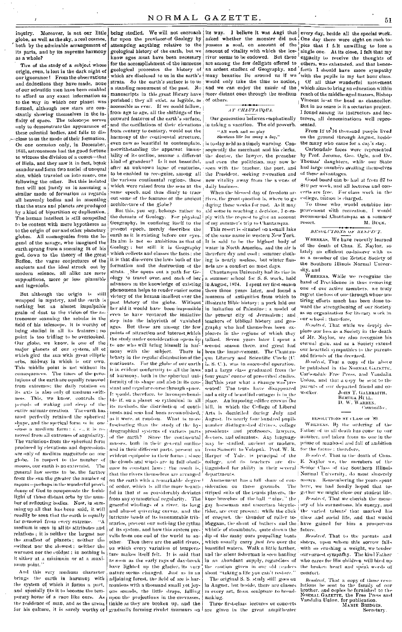inquiry. Moreover, is not our little globe, as well as the sky, a real cosmos. both by the admirable arrangement of its parts, and by its supreme harmony as a whole?

Tire of the study of a subject whose origin, even, is lost in the dark night of our ignorance! From the observations and deductions they have made, none of our scientific men have been enabled to afford us any exact information as to the way in which our planet was formed, although new stars are constantly showing themselves in the infinity of space. The telescope serves only to demonstrate the appearance of these celestial bodies, and fails to disclose to us the mode of their formation. On one occasion only, in December, 1845, astronomors had the good fortune to witness the division of a comet-that of Biela, and they saw it in fact, break asunder and form two nuclei of unequal size, which traveled on into space, one following the other. But this isolated fact will not justify us in assuming a similar mode of formation as regards all heavenly bodies and in assenting that the stars and planets are produced by a kind of bipartition or duplication. The human intellect is still compelled to be content with mere hypotheses as to the origin of our and other planetary globes. All cosmogonies from the legend of the savage, who imagined the earth sprang from a sneezing fit of his god, down to the theory of the great Buffon, the vague conjectures of the ancients and the ideal struck out by modern science, all alike are mere suppositions, more or less plausible and ingenious.

But although the origin is still wrapped in mystery, and the earth is nothing but an almost impalnable grain of dost to the vision of the astronomer scanning the nebula in the field of his telescope, it is worthy of being studied in all its features; no point is too trifling to be overlooked. Our globe, we know, is one of the major planets of our system, all of which gird the sun with great elliptic orbs, midway in which is our own. This middle point is not without its consequences. The times of the vevolutions of the earth are equally removed from extremes; the daily rotation on its axis is also only of medium swiftness. This, we know, controls the periods of waking and sleep of the entire animate creation. The earth has most perfectly retained the spherical shape, and the sperical form is in onesense a medium form:  $i, r,$ , it is removed from all extremes of angularity. The variations from the spherical form produced by elevations and depressions are only of medium magnitude on our globe. In respect to the number of moons, our earth is no extremist. The general law seems to be, the farther from the sun the greater the number of moons-perhaps in the wonderful providence of God to compensate the feeble light of those distant orbs by the number of reflecting bodies. Now, in summing up all that has been said, it will readily be seen that the earth is coually far removed from every extreme. "A medium is seen in all its attributes and relations: it is neither the bargest northe smallest of planets; neither the swiftest nor the slowest; neither the warmest nor the coldest ; in nothing is it either at a minimum or at a maximum point."

And this very medium character brings the earth in harmony with the system of which it forms a part, and specially fits it to become the temporary home of a race like ours. As the residence of man, and as the arena tiakle as they are broken up, and the for his culture, it is sarely worthy of gradually forming rivulet murniurs on

far upon the province of Geology by attempting anything relative to the geological history of the earth, but we know ages must have been necessary for the accomplishment of the immense geological processes the history of which are disclosed to us in the earth's strata. So the earth's surface is to us a standing monument of the past. No manuscripts in this great library have perished; they all exist, as legible, as accessible as ever. If we could follow. from age to age, all the shiftings of the outward features of the earth's surface. and the oscillations of their elevations from century to century, would not the harmony of the continental structure, even now so beautiful to contemplate. notwithstanding the apparent immobility of its outline, assume a different kind of grandeur? Is it not beautiful, after an unknown lanse of centuries. to be enabled to recognize among all. the various continental regions, those which were raised from the seas at the same epoch, and thus dimly to trace out some of the features of the ancient architecture of the globe?

But this, you say, belongs rather to the domain of Geology. For physical Geography, in confining itself to the present epoch, merely describes the earth as it is existing hefore our eyes. Its aim is not so ambitious as that of Geology; but still it is Geography which collects and classes the facts; she it is that discovers the laws both of the formation and the destruction of the strata. She opens out a path for Geology to travel over, and each of her advances in the knowledge of existing phenomena helps to render easier some past bistory of the globe. Without even to have ventured the initiative step into the labyrinth of vanished ages. But these are among the few beauty in the regular distribution of the qualificary and Scientific Circle (C. neamy is the eggs of our earth is in evident conformity to all the laws. formity of its shape and also in its constant and regular course through space. It would, therefore, be incomprehensihle if, on a planet so rythmical in all its methods, the distribution of contineats and seas had been accomplished, as it were, at random. What is more fascinating than the study of the hydrographical systems of various parts<br>of the carth? Since the continental masses, both in their general outline and in their different parts, present anevident equipoise in their forms : since the clouds and winds are in full obedience to constant laws : the result is, that the rivers themselves are arranged on the earth with a remarkable degree ! of order, which is all the more beautiful in that it so considerably deviates from any symmetrical regularity. The graceful windings of a river, its long and almost quivering curves, and the intricate bends of its immunerable tributaries, prevent our noticing the cythm. of its system, and how this system prevails from one end of the world to another. Then there are the solid rivers, on which every variation of temperature makes itself felt. It is said that as soon as the early rays of day-break have lighted up the glacier, its very nature seems changed. Just as in an adjoining forest, the field of ice is harmonious with a thousand small yet joyous sounds, the little drops, falling upon the projections in the crevasses,

asked whether the monster did not possess a soul, on account of the amount of vitality with which the iceare among the few delights offered to would only take the time to notice, and we can enjoy the music of the more distant ones through the medium of others.

### AT CHAUTAUQUA.

Our generation believes emphatically in taking a vacation. The old proverb, "All work and no play

### Shortens life for many a day,"

is to-day neld as a timely warning. Consequently the merchant and his clerks, the doctor, the lawyer, the preacher and even the politician, may now be seen with the teacher, the poet, and the President, seeking recreation and new vitality away from the senes of daily husiness.

When the blessed day of freedom arrives, the great question is, where to go during these weeks for rest. As it may aid some in reaching a decision, I comply with the request to give an account of my summer's trip to Chautanqua.

This resort is situated on a small lake of the same name in western New York. It is said to be the highest body of water in North America, and the air is therefore dry and cool: summer clothing is nearly useless, but winter flannels are a comfort on most days.

Chautanqua University had its rise in a summer school for S. S. work, held in August, 1874. I spent my first season there three years later, and found a victory of the human intellect over the museum of antiquities from which to illustrate Bible history; a park laid out her aid it would have been impossible in imitation of Palestine; a model of the present city of Jerusalem; and teachers of biblical history and gengraphy who had themselves been expoints of attraction and interest which plorers in the regions of which they the study under consideration opens up talked. Seven years later I spent a to one who will bring himself in har- second season there, and great had second scason there, and great had mony with the subject. There is been the improvement. The Chautau-L. S. C.), was in successful operation, and a large class graduated from the of harmony, both in the spherical uni- | four years' course of prescribed studies. But this year what a change was presented! The tents have disappeared and a city of beautiful cottages is in the place. An imposing edifice erowns the hill, in which the College of Liberal Arts is domiciled during July and August. Its nearly four hundred pupils number distinguished divines, college presidents and professors, lawyers, doctors, and educators. Any hanguage may be studied, ancient or modern. from Sanserit to Volapuk. Prof. W. R. Harper of Yale, is principal of the college, and its teachers are distinguished for ability in their several departments.

.<br>Annisement has a full share of consideration on these grounds. The striped suits of the tennis players, the knee breeches of the ball " nine." the gay horseman and uncertain bicyclerider, are ever present: while the click of croquet, the thunder of roller tobbggans, the shout of bathers and the whistle of steamboats, quite drown the dip of the many oars propelling boats which usually carry just two over the beautiful waters. Walk a little farther, and the silent fisherman is seen hauling in an abundant supply, regardless of the caution given in our old readers about "taking a life you can't restore."

The original S. S. study still goes on in August, but beside, there are classes in every art, from scalpture to breadmaking.

Three first-class lectures or concerts are given in the great ampitheater

being studied. We will not encroach its way. I believe it was Angi that every day, beside all the special work. One day there were eight on such topics that I felt unwilling to lose a single one. At its close, I felt that my river seems to be endowed. But these equacity to receive the thoughts of others, was exhausted, and that hencean ardent student of Geography, and forth I should have more sympathy many beauties lie around us if we with the pupils in my last hour class. Of all thiss wonderful movement which aims to bring an education within reach of the middle-aged masses, Bishop Vincent is at the head as chancellor. But in no sense is it a sectarian project. I found among its instructors and lecturers, all denominations well represented.

From 12 to 16 thousand people lived on the ground through August, heside the many who came for a day's stay.

Carbondale faces were represented by Prof. Jerome, Geo. Ogle, and Dr. Thomas' daughters, while our State had large numbers availing themselves of these advantages.

Good board can be had at from 87 to \$10 per work, and all lectures and concerts are free. For class work in the college, tuition is charged.

To those who would combine improvement with recreation, I would recommend Chautanqua as a summer M. Brek. **TOSOPI** 

### RESOLUTIONS OF RESPECT.

WHEREAS, We have recently learned of the death of Chas. E. Naylor, so lately an efficient co-laborer with us as a member of the Zetetic Society of the Southern Illinois Normal University, and

WHEREAS, While we recognize the hand of Providence in thus removing one of our active members, we truly regret the loss of one through whose untiring efforts much has been done toward the strengthening of our Society as an organization for literary work in our school: therefore.

Resolved. That while we deeply deplore our loss as a Society in the death of Mr. Naylor, we also recognize his eternal gain, and as a Society extend our heartfelt sympathies to the parents and friends of the deceased.

Resolved, That a copy of the above be published in the NORMAL GAZETTE. Carbondale Free Press, and Vandalia Union, and that a copy be sent to the parents of our departed friend and co-.<br>Worker, JOHN T. GALBRAITH,

### BERTHA HULL.<br>D. W. WARREN Connuillec.

RESOLUTIONS BY 21 ASS OF <sup>1934</sup>

WHEREAS, By the ordering of the Father of us all death has come to our number, and taken from us one in the prime of manhood and full of andition for the future : therefore.

Resolved. That in the death of Chas. E. Naylor we, the members of the Senior Class of the Southern Illinois Normal University, do most sincerely mourn. Remembering the years spent here, we had fondly hoped that together we might close our student life.

Resolved. That we cherish the memory of his earnestness, his energy, and the varied talents' that marked his class and social life, and that would have gained for him a prosperous future.

Resolved, That to the parents and sisters, upon whom this sorrow falls with so erushing a weight, we tender our carnest sympathy. The kind Father who cares for His children will bind up the broken heart and speak words of comfort.

Resolved, That a copy of these resolutions be sent to the family of our brother, and copies be furnished to the<br>Nouval Gazerre, the Free Press and Vandalia Union, for publication.<br>MAMIE BRIDGES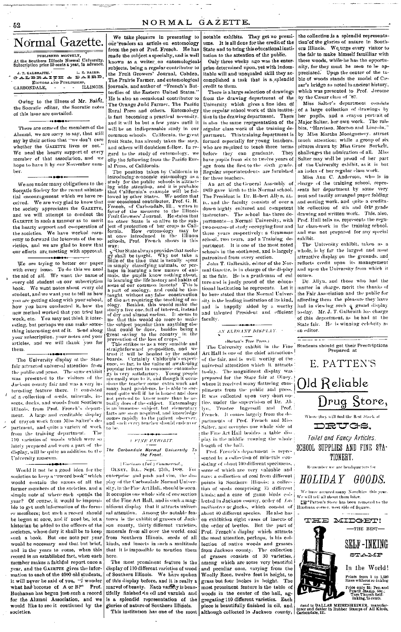## Normal Gazette.

.<br>Manazarta ingilan

PUBLISKED MONTHLY, At the Southern Illinois Normal University.<br>Subscription price 50 cents a year, in advance. J. T. GALBRAITH. I. T. GALBRAITH. L. E. BAIRD.<br>CALBRAITH & DAIRD,<br>EDITORS AND PUBLISHERS,<br>CARBONDALE, LLUNOIS.

Owing to the illness of Mr. Baird, the Socratic editor, the Socratic notes of this issue are curtailed.

There are some of the members of the Alumni, we are sorry to say, that still say by their action that "we don't care whether the GAZETTE lives or not." We need the hearty support of every member of that association, and we hope to have it by our November numher.

We are under many obligations to the Socratic Society for the recent substantial encouragement which we have received. We are very glad to know that the society appreciates the GAZETTE, and we will attempt to conduct the GAZETTE in such a manner as to merit the hearty support and co-operation of the societies. We have worked earnestly to forward the interests of the soeleties, and we are glad to know that our efforts are meeting with approval.

We are trying to better our paper with every issue. To do this we need<br>the aid of all. We want the name of every old student on our subscription book. We want notes about every old student, and we want you to tell us how you are getting along with your school, how you have conducted it, how the new method worked that you tried last week, etc. You may not think it interesting, but perhaps we can make something interesting out of it. Send along your subscription, your notes and your articles, and we will thank you for thom

The University display at the State fair attracted universal attention from the public and press. The same exhibit was presented to the visitors of the Jackson county fair and was a very interesting feature there. It consisted of a collection of seeds, minerals, insects, ducks, and woods from Southern Illinois, from Prof. French's department. A large and creditable display of crayon work from Miss Salter's department, and quite a variety of work from the training department. The 110 varieties of woods which were so lately prepared and were a part of the display, will be quite an addition to the University museum.

Would it not be a good idea for the societies to keep a "record book" which would contain the names of all the former members of the societies, and a simple note of where each spends the year? Of course, it would be impossible to get such information of the former members: but such a record should be hegun at once, and if need be, let a historian be added to the officers of the societies, whose duty it shall be to keep such a book. But one note per year would be necessary and that but brief, and in the years to come, when this record is an established fact, when each member makes a faithful report once a year, and the GAZETTE gives the information to each of the 4000 old students. it will never be said of you, "I wonder<br>what has become of A or B?" Prof. Buchanan has begun just such a record for the Alumni Association, and we would like to see it continued by the societies.

We take pleasure in presenting to our readers an article on entomology from the pen of Prof. French. He has made the subject a specialty, and is well known as a writer on entomological subjects, being a regular contributor to the Fruit Growers' Journal, Cobden. The Prairie Farmer, and entomological journals, and author of "French's Butterflies of the Esstern United States." He is also an occasional contributor to The Orange Judd Farmer. The Pacific Rural Press and others. Entomology is fast becoming a practical necessity. and it will be but a few years until it will be an indispensable study in our common schools. California, the great fruit State, has already taken the step, and others will doubtless follow. In regard to the study of entomology, we clip the following from the Pacific Rural Press, of California:

The position taken by California in The position takes by California to<br>introducing economic entromology as a study for the public schools is attractive<br>ing wide attention, and it is probable that California's example will be followed by other States. We pos our occasional contradict. The writes in<br>Favor of the measure to the Illinois<br>Fruit Growers' Journal. He states that A run crowers Journal. He states that no other State is so alive to the sub-<br>ject of protection of her crops as Cali-<br>fornia. How eutomology may be How entomology may be<br>theredneed in the Illinois at once introduced in the Illinois<br>schools, Prof. French shows in this

seneously<br>way:<br>what State always provides that zoology<br>shall be taught. Why not take a<br>fittle of the that is usually spent<br>the the shall shall or perfittle of the time that is usually sponting minals, or perimanist in simply classifying nuimals, or perimanist the publishead is located to learning the life history ording about the space of some of our common insteads? T the ship is would do more to make<br>the subject popular than anything else<br>that could be done, besides being a<br>great saving to the country in the<br>provention of the loss of erops.

provention of the loss of erops."<br>This strikes us a very sensible and<br>straightforward proposition, and we<br>trust it will be headed by the school<br>boards. Certainly California's experience, so far, in the value of awakening<br>e ence, so far, in the value of awakening<br>popular interest in economic entomology<br>gy is very satisfactory. Young prople<br>are easily won to it, and though it occurs<br>aims the teacher some extra work and<br>many hard problems, he i cool quite well if he is honest and does<br>not precleat to know more than he ac-<br>tradly does of the subject. Entomology<br>is an immense subject, but elementary<br>facts are soon acquired, and knowledge<br>comes rapidly to the patien

## $\begin{aligned} \begin{aligned} \textit{L} \end{aligned} & \begin{aligned} \textit{FINE} \end{aligned} & \begin{aligned} \textit{EXHIBIT.} \end{aligned} \end{aligned}$

The Carbondale Normal University To the Front.

### | Vincinnes (Ind.) Commercial.,

OLNEY, ILL., Sept. 25th, 1888. For enterprise and push and vim. the display of the Carbondale Normal University, in the Fine Art Hall, should be seen. It occupies one whole side of one section of the Fine Art Hall, and is such a magnificent display that it attracts universal attention. Among the notable features is the exhibit of grasses of Jackson county, thirty different varieties, minerals from all over the world, coal from Southern Illinois, seeds of all kinds, and insects in such a multitude that it is impossible to mention them here.

The most prominent feature is the display of 110 different varieties of wood of Southern Illinois. We have spoken of this display before, and it is really a marvel of beauty. Each variety is beautifully finished in oil and varnish and is a splendid representation of the glories of nature of Southern Illinois.

This institution has one of the most

notable exhibits. They get no premiums. It is all done for the credit of the State and to bring this educational institution to the attention of the public.

Only three weeks ago was the enterprise determined upon, yet with indomitable will and unequaled skill they accomplished a task that is a splendid credit to them.

There is a large selection of drawings from the drawing department of the University which gives a fine idea of the regular school work of this institution in the drawing department. There is also the same representation of the regular class work of the training department. This training department is formed especially for young teachers. who are required to teach three terms They before they can graduate. have pupils from six to twelve years of age from the first to the sixth grade. Regular superintendents are furnished for these teachers.

An act of the General Assembly of 1869 gave birth to this Normal school. The President is Dr. Robert Allyn, LL. D., and the faculty consists of over a dozen highly cultured and competent<br>instructors. The school has three departments-a Normal University, with .<br>two courses of study occupying four and three years respectively; a Grammar school, two vears, and a Training department. It is one of the most noted schools in the southwest, and is largely patronized from every section.

John T. Galbraith, editor of the Normal Gazette, is in charge of the display at the fair. He is a gentleman of cul ture and is justly proud of the educational institution he represents. Lot it be here stated that the Normal University is the leading institution of its kind, and is happily aided by a worthy and talented President and efficient .<br>faculty.

## $\label{thm:main} \begin{minipage}[c]{0.9\linewidth} \begin{minipage}[c]{0.9\linewidth} \begin{minipage}[c]{0.9\linewidth} \begin{minipage}[c]{0.9\linewidth} \end{minipage}[c]{0.9\linewidth} \begin{minipage}[c]{0.9\linewidth} \begin{minipage}[c]{0.9\linewidth} \end{minipage}[c]{0.9\linewidth} \begin{minipage}[c]{0.9\linewidth} \end{minipage}[c]{0.9\linewidth} \begin{minipage}[c]{0.9\linewidth} \end{minipage}[c]{0.9\linewidth} \begin{minipage}[c]{0.9\linewidth} \end{minipage}[c]{0.9\linewidth} \begin$

### (Barton's Free Press.)

The University exhibit in the Fine<br>Art Hall is one of the chief attractions of the fair, and is well worthy of the universal attentition which it attracts The magnificent display was to day. prepared for the State fair at Oluey, where it received many flattering compliments from the public and press. It was collected upon very short notice, under the supervision of Dr. Allyn, Trustee Ingersoll and Prof. French. It comes largely from the departments of Prof. French and Miss Salter, and occupies one whole side of the Fine Art Hall besides a table display in the middle running the whole length of the hall.

Prof. French's department is represented by a collection of minerals consisting of obout 100 different specimens, some of which are very valuable and rare; a collection of coal from different points in Southern Illinois; a collection of seeds comprising 75 different kinds: and a case of game birds collocted in Jackson county, order of Lamelliostres or ducks, which consist of about 40 different species. He also has on exhibition eight cases of insects of the order of beetles. But the part of Prof. French's display which attracts the most attention, perhaps, is his collection of native woods and grasses from Jackson county. The collection of grasses consists of 30 varieties, among which are some very beautiful and peculiar ones, varying from the Woolly Reen, twelve feet in height, to grass but four inches in height. The most prominent feature is the table of woods in the center of the hall, aggregating 110 different varieties. Each

the collection is a splendid representation of the glories of nature in Southern Illinois. We urge every visitor to the fair to make himself familliar with these woods, while he has the onnortunity, for they must be seen to be appreciated. Upon the center of the table of woods stands the model of Casar's bridge so noted in ancient history, which was presented to Prof. Jerome by the Casar class of '87.

Miss Salter's department consists of a large collection of drawings by her pupils, and a crayon portrait of Major Salter, her own work. The rabbits, "Harrison, Morton and Lincoln." by Miss Martha Montgomery, attract much attention: while a group of six pitures drawn by Miss Grace Burkett, challenges the admiration of all. Miss Salter may well be proud of her part of the University exhibit, as it is but an index of her regular class work.

Miss Ann C. Anderson, who is in charge of the training school, represents her department by some very neat and tastily arranged paper folding and outting work, and quite a creditable collection of 4th and 6th grade drawing and written work. This, also, Prof. Hull tells us, represents the regular class-work in the training school, and was not prepared for any special exhibit.

The University exhibit, taken as a whole, is by far the largest and most attractive display on the grounds, and reflects credit upon its management and upon the University from which it **oomies** 

Dr. Allyn, and those who had the matter in charge, merit the thanks of the Fair Association and the public for affording them the pleasure they have measing mean are preasure they have<br>had in viewing such a grand display<br>to-day. Mr. J. T. Galbraith has charge of this deportment, as he had at the State fair. He is winning celebrity as an editor.

Students should get their Prescriptions<br>Prepared at



HOLIDAY GOODS.

We have secured many Novelties, this year

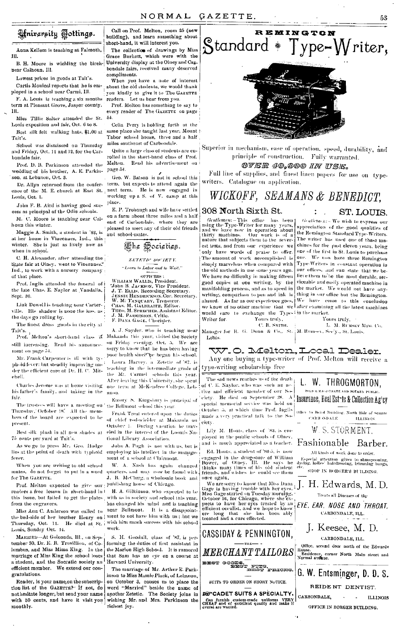## Hniversity Tottings.

Anna Kellom is teaching at Falmoth,  $\overline{\mathbf{m}}$ 

B. H. Moore is wielding the birchnear Calhoun, Ill.

Lowest prices in goods at Tait's. Curtis Monical reports that he is em-

ployed in a school pear Carmi. Ill. F. A. Louis is teaching a six months term at Pleasant Grove, Jasper county. TH.

Miss Tillie Salter attended the St. Louis exposition and fair, Oct. 6 to 8.

Best silk felt walking hats, \$1.00 at Tait's.

School was dismissed on Thursday and Friday, Oct. 11 and 12, for the Carbondale fair.

Prof. D. B. Parkinson attended the wedding of his brother, A. E. Parkinson, at Lebanon, Oct. 3.

ense of the M. E. church at East St. Louis, Oct. 1.

John F. B. Aird is having good suecess as principal of the Odin schools.

M. C. Moore is teaching near Calhoun this winter.

Maggie A. Smith, a student in '88, is at her home in Vincennes, Ind., this winter. She is just as lively now as when in school.

C. H. Alexander, after attending the State fair at Olney, went to Vincennes." Ind., to work with a nursery company of that place.

Prof. Inglis attended the funeral of i the late Chas. E. Navlor at Vandalia. Sept. 30.

Link Dowell is teaching near Carterville. His shadow is none the less, as the days go rolling by.

The finest dress goods in the city at

still increasing. Read his announcement on page 54.

phoid fever: but steadily improving under the efficient care of Dr. H. C. Mitehell.

his father's family, and taking in the fair.

Thursday, October 18. All the memhers of the board are expected to be present.

Best silk plush in all new shades at 75 cents per yard at Tait's.

As we go to press Mr. Geo. Hodge lies at the point of death with typhoid fever.

When you are writing to old school mates, do not forget to put in a word for The GAZETTE.

Prof. Melton expected to give our publishing house of Chicago. readers a free lesson in short-hand in 1 from the engravers.

Miss Ann C. Anderson was called to Thursday, Oct. 11. Louis, Sunday Oct. 14.

MARRIED-At Golconda, Ill., on Sep tember 30, Dr. E. B. Trovillion, of Columbus, and Miss Mima King. In the marriage of Miss King the school loses a student, and the Socratic society an Harvard University. efficient member. We extend our congratulations.

Reader, is your name, on the subscription list of the GAZETTEP If not, do nothesitate longer, but send your name with 50 cents, and have it visit you monthly.

Call on Prof. Melton, room 25 (new building), and learn something about short-hand, it will interest you.

The collection of drawings by Miss Grace Burkett, which were with the University display at the Olney and Capbondale fairs received niany deserved compliments.

When you have a note of interest about the old students, we would thank you kindly to give it to The GAZETTE readers. Let us hear from you.

Prof. Melton has something to say to every reader of The GAZETTE on page  $54$ 

Celia Perry is holding forth at the same place she taught last year, Mount Tabor school house, three and a half miles southeast of Carbondale.

Quite a large class of students are enrolled in the short-hand class of Prof. Melton. Read his advertisement on page 54.

Geo. W. Batson is not in school this Dr. Allyn returned from the confer-term, but expects to attend again the one of the M. E. church at East St., next term. He is now engaged in working up a S. of V. camp at this place.

> E. P. Trobaugh and wife have settled on a farm shout three miles and a half east of Carbondale, where they are pleased to meet any of their old friends and school-mates.



ZETETH SOCIETY "Learn to Labor and to Wait."

OFFICERS :<br>WILLIAM WALLIS, President.<br>John B. JACKSON, Vice President. John B. JACKSON, Ctev Freshield.<br>J. T. ELLIS, Recording Secretary.<br>ENNIE HENDRICKSON.Cor. Secretary. **W. M. TANQUARES, Treasurer.**<br>CHAS. M. GALBRATTH, Editor.<br>Theo. M. Sprecher, Assistant Editor. J. M. PARKINSON, Critie.<br>F. DANA GAGE, Chorister.

Tait's. A. J. Suyuer, who to consume Tait's. Tait's. The Society Prof. Melton's short-hand class is Makanda this year, visited the Society sorry to know that he has been having and the mass begin having the second term of the mass begin having the Frank Carpenter is all with ty- poor health since the began his school. Laura Harvey, a Zetetic of 87, is teaching in the intermediate grade of the Mt. Carmel schools this year. After leaving this University, she spent Charles Jerome was at home visiting one term at McKendree College, Lebsnon.

Emory S. Kingsbury is principal of The trustees will have a meeting on ' the Bellmout school this year.

Frank Treat entered upon the duties of chief rod-wielder at Makanda on October 1. During vacation he traveled in the interest of the Loomis National Library Association.

John A. Pugh is not with us, but is employing his intellect in the management of a school at Clairmont.

W. A. Nash has again changed quarters, and may now be found with. J. B. McClurg, a wholesale book and

H. A. Gilkinson, who expected to be this issue, but failed to get the plates, with as in society and school this year, has changed his mind and is teaching near Bellmont. It is a disappointthe bed-side of her brother Henry on | ment to not have him with us; but we He died at St. wish him much success with his school work.

> S. H. Goodall, class of '87, is performing the duties of first assistant in the Marion High School. It is rumored that Sam has an eye on a course at

> The marriage of Mr. Arthur E. Parkinson to Miss Mamie Plack, of Lebanon, on October 3, causes us to place the word "Married" beside the name of another Zetetic. The Society joins in wishing Mr. and Mrs. Parkinson the richest joy.



Superior in mechanism, ease of operation, speed, durability, and principle of construction. Fully warranted.

OVER 40.000 IN USE.

Full line of supplies, and finest linen papers for use on typewriters. Catalogue on application.

## WICKOFF, SEAMANS & BENEDICT.

### 308 North Sixth St.

Gentlemen: - This office has been<br>using the Type-Writer for many years,<br>and we have now in operation about<br>thirty machines. Our work is of a nature that subjects them to the severest tests, and from one experience we only have words of praise to offer. The amount of work accomplished is simply marvelous when compared with the old methods in use some years ago. We have no difficulty in making tifteen good copies at one writing, by the manifolding process, and as to speed in writing, comparison to pen and ink is writing, computation to permission. We have once to this conclusion.<br>absurd. As far as our experience goes,  $|W_C|$  have come to this conclusion.<br>we know of no other machine that we deficit examining all the latest machine would care to exchange the Type-iin the market. Yours truly, Writer for.

ST. LOUIS.

Gentlement - We wish to express our appreciation of the good qualities of the Remington Standard Type-Writers. The writer has used one of these machines for the past eleven years, being one of the first in St. Louis to purchase one. We now have three Remington Type-Writers in constant operation in our offices, and can state that we believe them to be the most durable, serviceable and easily operated machine in the market. We would not have anything in our office but the Remington. Yours truly.

L. M. RUMSEY MFG. CO.

C. B. SMITH. Manager for R. G. Dunn & Co., St. M. Rumsey, Secy., St. Louis, Lottis

W.O. Melton,Looal Dealer.

Any one buying a type-writer of Prof. Melton will receive a type-writing scholarship free

The sad news reaches us of the death of C. E. Naylor, who was such an ac tive and efficient member of our Society. He died on September 28. A special memorial service was held on October 5, at which time Prof. Inglismade a very practical talk to the Soeietv

Lily M. Houts, class of [83, is employed in the public schools of Olney. and is much appreciated as a teacher.

Ed. Houts, a student of '84-5, is now engaged in the drug-store of William<br>Bower, of Olney, Ill. He says he<br>thinks many times of his old student<br>friends, and wishes he could see them once again.

Gage is having trouble with her eyes.<br>Miss Gage started on Tuesday morning. mess one of the control of the control of the expects to have her eyes treated by an efficient occulist, and we hope to know the expect of the control of the control of the control of  $\mathbf{r}$ . ere long that she has<br>treated and a cure effected.



L. W. THROGMORTON. POLICE MAGISTRATE AND NOTARY FURLEY Insurance, Real Estate & Collection Ag'ey to Boird Building, North Side of Square CARB (NDALE) HATNOIS W. S. STORMENT. Fashionable Barber. All kinds of work done to order. Especial attention given to shampooning,<br>dycing, ladies' hairdressing, trimming bangs, SHOP IN BORGER'S BUILDING. We are sorry to know that Miss Dana  $_{\pm}$  [  $_{\pm}$  H  $_{\pm}$  Edwards, M, D, Treats all Diseases of the EYE. EAR. NOSE AND THROAT. CARBONDALE, ILL. J. Keesee, M. D. CARBONDALE, ILL. Office, second door north of the Edwards House, second door north of the Edwards<br>Residence, corner North Main street and<br>Normal avonue. and the G. W. Entsminger, D. D. S. REIDENT DENTIST. CARBONDALE.  $\mathbb{R}^2$ **ILLINOIS** OFFICE IN BORGER BUILDING.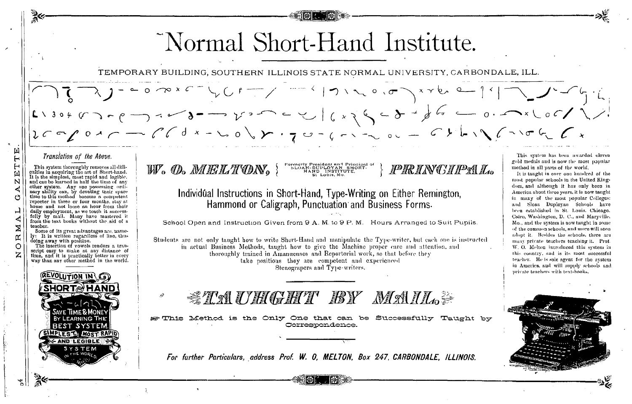Normal Short-Hand Institute. TEMPORARY BUILDING, SOUTHERN ILLINOIS STATE NORMAL UNIVERSITY, CARBONDALE, ILL. 口 Translation of the Above. This system has been awarded eleven  $\overline{H}$ gold medals and is now the most popular Formerly President and Principal of<br>SLOAN-DUPLOYAN SHORT-<br>HAND INSTITUTE,  $\mathsf{H}$ This system thoroughly removes all diffi-<br>culties in acquiring the art of Short-hand. W. O. MELTON, **PRINGIPAL**. method in all parts of the world, 国 It is taught in over one hundred of the St. Lonis, Mo It is the simplest, most rapid and logible,<br>and can be learned in half the time of any most popular schools in the United King-N other system. Any one possessing ordinary ability can, by devoting their spare-<br>mary ability can, by devoting their spare-<br>time to this method become a competent dom, and although it has only been in ∢ Individual Instructions in Short-Hand, Type-Writing on Either Remington, America about three years, it is now taught O in many of the most popular Colleges: reporter in three or four months, stay at Hammond or Caligraph, Punctuation and Business Forms. and Sloan Duplovan Schools have home and not loose an hour from their ب been established in St. Louis. Chicago. daily employment, as we teach it successfully by mail. Many have mastered it Cairo, Washington, D. C., and Marvville, from the text books without the aid of a School Open and Instruction Given from 9 A, M, to 9 P, M. Hours Arranged to Suit Pupils. Mo., and the system is now taught in some teacher. of the common schools, and more will soon Some of its great advantages are, nameadopt it. Besides the schools, there are ly: It is written regardless of line, thus œ doing away with position.<br>The insertion of vowels renders a tran-Students are not only taught how to write Short-Hand and manipulate the Type-writer, but each one is instructed many private teachers teaching it. Prof. C in actual Business Methods, taught how to give the Machine proper care and attention, and W. O. Melton introduced this system in script easy to make at any distance of thoroughly trained in Amanuenses and Reportorial work, so that before they this country, and is its most successful time, and it is practically better in every take positions they are competent and experienced teacher. He is sole agent for the system way than any other method in the world. in America, and will supply schools and Stenograpers and Type writers. private teachers with text-books. REVOLUTION IN *STAUHGHT BY MAIL.* Method is the Only One that can be Successfully Taught by Correspondence **MOST RAM AND LEGIBLE** For further Particulars, address Prof. W. O. MELTON, Box 247, CARBONDALE, ILLINOIS.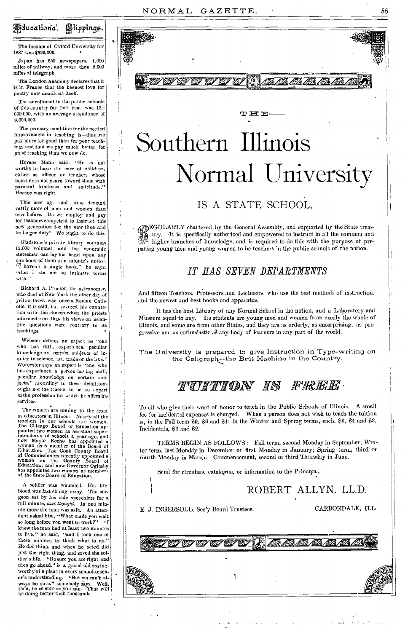## *Educational Glippings.*

The income of Oxford University for 1887 was \$326,000.

Japan has 250 newspapers, 1,000 miles of railway, and more than 2,000 miles of telegraph.

The London Academy declares that it is in France that the keenest love for poetry now manifests itself.

The enrollment in the public schools of this country for last year was 12. 000,000, with an average attendance of 8.000.000

The primary condition for the needed improvement in teaching is-that .we pay more for good than for poor teaching, and that we pay much better for good teaching than we now do.

Horace Mann said: "He is not worthy to have the care of children, cither as officer or teacher, whose heart does not yearn toward them with parental kindness and solicitude.' Horace was right.

This new age and time demand vastly more of men and women than ever before. Do we employ and pay for teachers competent to instruct this new generation for the new time and its larger duty? We ought to do this.

Gladstone's private library contains 15,000 volumes, and the venerable statesman can lay his hand upon any one book of them at a minute's notice.<br>"I haven't a single book," he says, "that I am not on intimate terms with.

Richard A. Proetor, the astronomer, who died at New York the other day of yellow fever, was once a Roman Catholic, it is said, but severed his connection with the church when the priests informed him that his views on scientific questions were contrary to its teachings.

Webster defines an expert as "one who has skill, experience, peculiar knowledge on certain subjects of in-<br>quiry in science, art, trade or the like." Worcester says an expert is "one who has experience, a person having skill, peculiar knowledge on certain subjects," according to these definitions ought not the teacher to be an expert in the profession for which he offers his services.

The women are coming to the front The women are coming to the front<br>as deductors in Illinos. Nearly all the<br>relations in our schools are women,<br>The Chicago Board of Education applied<br>pinted two women as assistant super-<br>noiw Mayor Roche has spentage, and<br>n WOMan on the Souncey Loom of<br>Education; and now Governor Ogleshy<br>has appointed two women as members has appointed two women as m<br>of the State Board of Education.

A soldier was wounded. His lifeblood was fast ebbing away. The surgeon sat by his side speechless for a full minute, and thought. In one minthe more the man was safe. An atten-<br>dant asked him, "What made you wait so long before you went to work?" "I knew the man had at least two minutes to live." he said, "and I took one of these minutes to think what to do.' He did think, and when he acted did just the right thing, and saved the soldier's life. "Be sure you are right, and then go ahead," is a grand old saying, worthy of a place in every school-teacher's understanding. "But we can't always be sure." somebody says. Well, then, be as sure as you can. That will be doing better than thousands.



# Southern Illinois Normal University

## IS A STATE SCHOOL.

GEGULARLY chartered by the General Assembly, and supported by the State treas-<br>A my. It is specifically authorized and empowered to instruct in all the same signal higher branches of live higher branches of knowledge, and is required to do this with the purpose of preparing young men and young women to be teachers in the public schools of the nation.

## IT HAS SEVEN DEPARTMENTS

And fifteen Teachers, Professors and Lecturers, who use the best methods of instruction, and the newest and best books and apparatus.

It has the best Library of any Normal School in the nation, and a Laboratory and Museum equal to any. Its students are young men and women from nearly the whole of Illinois, and some are from other States, and they are as orderly, as enterprising, as progressive and as enthusiastic as any body of learners in any part of the world.

The University is prepared to give Instruction in Type-writing on the Caligraph--the Best Machine in the Country.

## TUITION IS FREE.

To all who give their word of honor to teach in the Public Schools of Illinois. A small fee for incidental expenses is charged. When a person does not wish to teach the tuition is, in the Fall term \$9, \$6 and \$4, in the Winter and Spring terms, each, \$6, \$4 and \$3. Incidentals, \$3 and \$2.

TERMS BEGIN AS FOLLOWS: Fall term, second Monday in September; Winter term, last Monday in December or first Monday in January; Spring term, third or fourth Monday in March. Commencement, second or third Thursday in June.

Send for circulars, catalogue, or information to the Principal,

1

ROBERT ALLYN. LL.D.

<u>IA IA IA IA IA</u>

E. J. INGERSOLL, Sec'y Board Trustees.

CARBONDALE, ILL

55